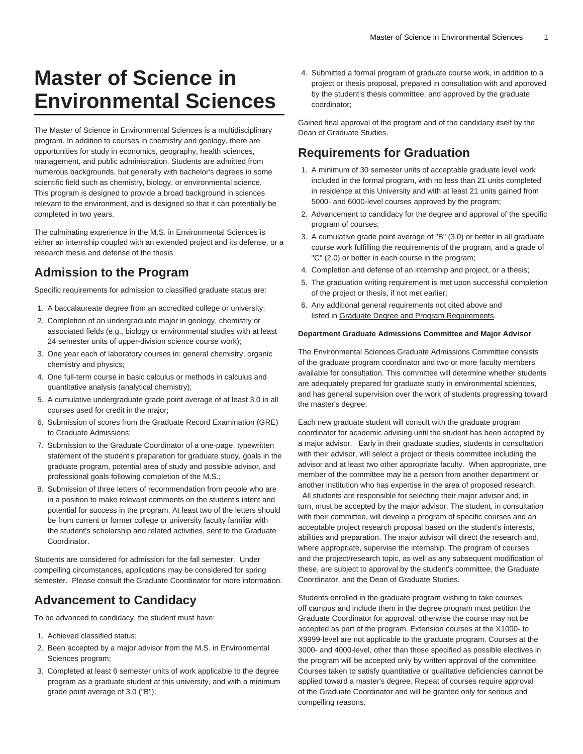# **Master of Science in Environmental Sciences**

The Master of Science in Environmental Sciences is a multidisciplinary program. In addition to courses in chemistry and geology, there are opportunities for study in economics, geography, health sciences, management, and public administration. Students are admitted from numerous backgrounds, but generally with bachelor's degrees in some scientific field such as chemistry, biology, or environmental science. This program is designed to provide a broad background in sciences relevant to the environment, and is designed so that it can potentially be completed in two years.

The culminating experience in the M.S. in Environmental Sciences is either an internship coupled with an extended project and its defense, or a research thesis and defense of the thesis.

### **Admission to the Program**

Specific requirements for admission to classified graduate status are:

- 1. A baccalaureate degree from an accredited college or university;
- 2. Completion of an undergraduate major in geology, chemistry or associated fields (e.g., biology or environmental studies with at least 24 semester units of upper-division science course work);
- 3. One year each of laboratory courses in: general chemistry, organic chemistry and physics;
- 4. One full-term course in basic calculus or methods in calculus and quantitative analysis (analytical chemistry);
- 5. A cumulative undergraduate grade point average of at least 3.0 in all courses used for credit in the major;
- 6. Submission of scores from the Graduate Record Examination (GRE) to Graduate Admissions;
- 7. Submission to the Graduate Coordinator of a one-page, typewritten statement of the student's preparation for graduate study, goals in the graduate program, potential area of study and possible advisor, and professional goals following completion of the M.S.;
- 8. Submission of three letters of recommendation from people who are in a position to make relevant comments on the student's intent and potential for success in the program. At least two of the letters should be from current or former college or university faculty familiar with the student's scholarship and related activities, sent to the Graduate Coordinator.

Students are considered for admission for the fall semester. Under compelling circumstances, applications may be considered for spring semester. Please consult the Graduate Coordinator for more information.

# **Advancement to Candidacy**

To be advanced to candidacy, the student must have:

- 1. Achieved classified status;
- 2. Been accepted by a major advisor from the M.S. in Environmental Sciences program;
- 3. Completed at least 6 semester units of work applicable to the degree program as a graduate student at this university, and with a minimum grade point average of 3.0 ("B");

4. Submitted a formal program of graduate course work, in addition to a project or thesis proposal, prepared in consultation with and approved by the student's thesis committee, and approved by the graduate coordinator;

Gained final approval of the program and of the candidacy itself by the Dean of Graduate Studies.

# **Requirements for Graduation**

- 1. A minimum of 30 semester units of acceptable graduate level work included in the formal program, with no less than 21 units completed in residence at this University and with at least 21 units gained from 5000- and 6000-level courses approved by the program;
- 2. Advancement to candidacy for the degree and approval of the specific program of courses;
- 3. A cumulative grade point average of "B" (3.0) or better in all graduate course work fulfilling the requirements of the program, and a grade of "C" (2.0) or better in each course in the program;
- 4. Completion and defense of an internship and project, or a thesis;
- 5. The graduation writing requirement is met upon successful completion of the project or thesis, if not met earlier;
- 6. Any additional general requirements not cited above and listed in Graduate Degree and Program Requirements.

#### **Department Graduate Admissions Committee and Major Advisor**

The Environmental Sciences Graduate Admissions Committee consists of the graduate program coordinator and two or more faculty members available for consultation. This committee will determine whether students are adequately prepared for graduate study in environmental sciences, and has general supervision over the work of students progressing toward the master's degree.

Each new graduate student will consult with the graduate program coordinator for academic advising until the student has been accepted by a major advisor. Early in their graduate studies, students in consultation with their advisor, will select a project or thesis committee including the advisor and at least two other appropriate faculty. When appropriate, one member of the committee may be a person from another department or another institution who has expertise in the area of proposed research.

 All students are responsible for selecting their major advisor and, in turn, must be accepted by the major advisor. The student, in consultation with their committee, will develop a program of specific courses and an acceptable project research proposal based on the student's interests, abilities and preparation. The major advisor will direct the research and, where appropriate, supervise the internship. The program of courses and the project/research topic, as well as any subsequent modification of these, are subject to approval by the student's committee, the Graduate Coordinator, and the Dean of Graduate Studies.

Students enrolled in the graduate program wishing to take courses off campus and include them in the degree program must petition the Graduate Coordinator for approval, otherwise the course may not be accepted as part of the program. Extension courses at the X1000- to X9999-level are not applicable to the graduate program. Courses at the 3000- and 4000-level, other than those specified as possible electives in the program will be accepted only by written approval of the committee. Courses taken to satisfy quantitative or qualitative deficiencies cannot be applied toward a master's degree. Repeat of courses require approval of the Graduate Coordinator and will be granted only for serious and compelling reasons.